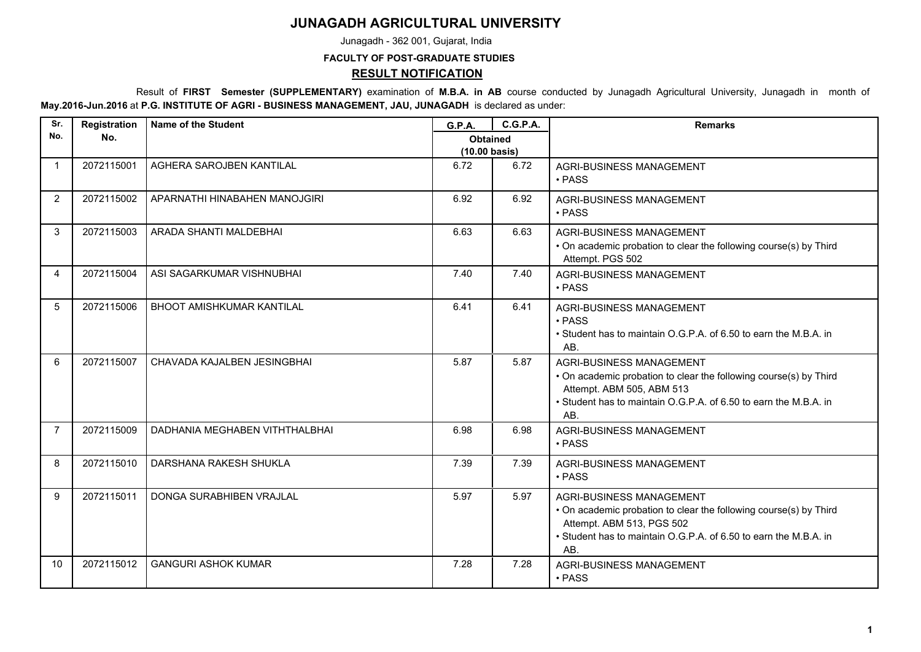## **JUNAGADH AGRICULTURAL UNIVERSITY**

Junagadh - 362 001, Gujarat, India

## **FACULTY OF POST-GRADUATE STUDIES RESULT NOTIFICATION**

 Result of **FIRST Semester (SUPPLEMENTARY)** examination of **M.B.A. in AB** course conducted by Junagadh Agricultural University, Junagadh in month of **May.2016-Jun.2016** at **P.G. INSTITUTE OF AGRI - BUSINESS MANAGEMENT, JAU, JUNAGADH** is declared as under:

| Sr.            | Registration | <b>Name of the Student</b>       | G.P.A.                           | <b>C.G.P.A.</b> | <b>Remarks</b>                                                                                                                                                                                        |
|----------------|--------------|----------------------------------|----------------------------------|-----------------|-------------------------------------------------------------------------------------------------------------------------------------------------------------------------------------------------------|
| No.            | No.          |                                  | <b>Obtained</b><br>(10.00 basis) |                 |                                                                                                                                                                                                       |
| $\mathbf 1$    | 2072115001   | AGHERA SAROJBEN KANTILAL         | 6.72                             | 6.72            | AGRI-BUSINESS MANAGEMENT<br>• PASS                                                                                                                                                                    |
| 2              | 2072115002   | APARNATHI HINABAHEN MANOJGIRI    | 6.92                             | 6.92            | AGRI-BUSINESS MANAGEMENT<br>$\cdot$ PASS                                                                                                                                                              |
| 3              | 2072115003   | ARADA SHANTI MALDEBHAI           | 6.63                             | 6.63            | <b>AGRI-BUSINESS MANAGEMENT</b><br>• On academic probation to clear the following course(s) by Third<br>Attempt. PGS 502                                                                              |
| 4              | 2072115004   | ASI SAGARKUMAR VISHNUBHAI        | 7.40                             | 7.40            | AGRI-BUSINESS MANAGEMENT<br>$\cdot$ PASS                                                                                                                                                              |
| 5              | 2072115006   | <b>BHOOT AMISHKUMAR KANTILAL</b> | 6.41                             | 6.41            | <b>AGRI-BUSINESS MANAGEMENT</b><br>• PASS<br>• Student has to maintain O.G.P.A. of 6.50 to earn the M.B.A. in<br>AB.                                                                                  |
| 6              | 2072115007   | CHAVADA KAJALBEN JESINGBHAI      | 5.87                             | 5.87            | AGRI-BUSINESS MANAGEMENT<br>• On academic probation to clear the following course(s) by Third<br>Attempt. ABM 505, ABM 513<br>• Student has to maintain O.G.P.A. of 6.50 to earn the M.B.A. in<br>AB. |
| $\overline{7}$ | 2072115009   | DADHANIA MEGHABEN VITHTHALBHAI   | 6.98                             | 6.98            | <b>AGRI-BUSINESS MANAGEMENT</b><br>• PASS                                                                                                                                                             |
| 8              | 2072115010   | DARSHANA RAKESH SHUKLA           | 7.39                             | 7.39            | AGRI-BUSINESS MANAGEMENT<br>• PASS                                                                                                                                                                    |
| 9              | 2072115011   | DONGA SURABHIBEN VRAJLAL         | 5.97                             | 5.97            | AGRI-BUSINESS MANAGEMENT<br>• On academic probation to clear the following course(s) by Third<br>Attempt. ABM 513, PGS 502<br>• Student has to maintain O.G.P.A. of 6.50 to earn the M.B.A. in<br>AB. |
| 10             | 2072115012   | <b>GANGURI ASHOK KUMAR</b>       | 7.28                             | 7.28            | AGRI-BUSINESS MANAGEMENT<br>• PASS                                                                                                                                                                    |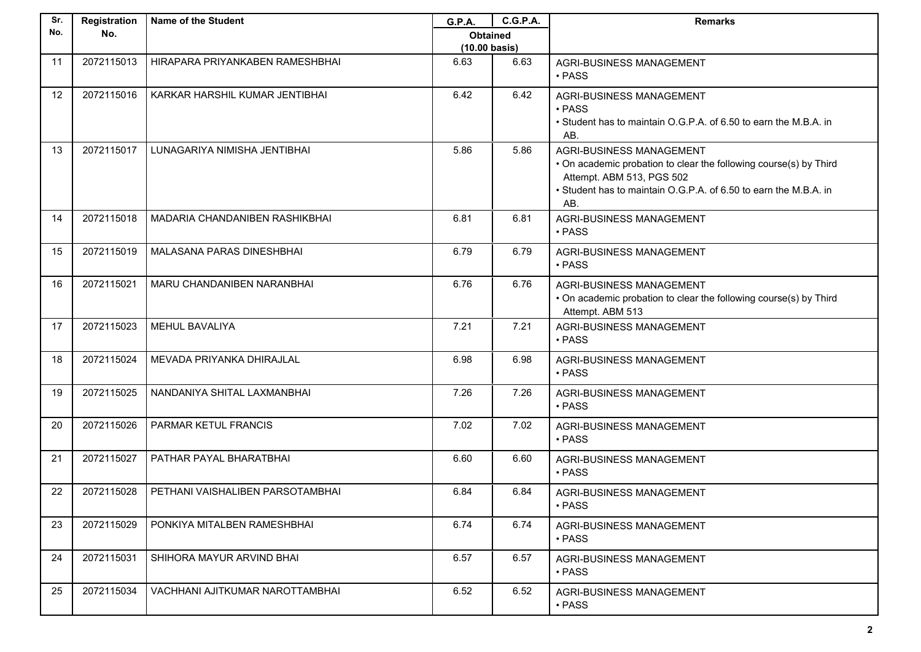| Sr. | Registration | Name of the Student              | <b>G.P.A.</b>           | <b>C.G.P.A.</b> | <b>Remarks</b>                                                                                                                                                                                               |
|-----|--------------|----------------------------------|-------------------------|-----------------|--------------------------------------------------------------------------------------------------------------------------------------------------------------------------------------------------------------|
| No. | No.          |                                  | <b>Obtained</b>         |                 |                                                                                                                                                                                                              |
|     |              |                                  | $(10.00 \text{ basis})$ |                 |                                                                                                                                                                                                              |
| 11  | 2072115013   | HIRAPARA PRIYANKABEN RAMESHBHAI  | 6.63                    | 6.63            | <b>AGRI-BUSINESS MANAGEMENT</b><br>• PASS                                                                                                                                                                    |
| 12  | 2072115016   | KARKAR HARSHIL KUMAR JENTIBHAI   | 6.42                    | 6.42            | <b>AGRI-BUSINESS MANAGEMENT</b><br>• PASS<br>• Student has to maintain O.G.P.A. of 6.50 to earn the M.B.A. in<br>AB.                                                                                         |
| 13  | 2072115017   | LUNAGARIYA NIMISHA JENTIBHAI     | 5.86                    | 5.86            | <b>AGRI-BUSINESS MANAGEMENT</b><br>. On academic probation to clear the following course(s) by Third<br>Attempt. ABM 513, PGS 502<br>• Student has to maintain O.G.P.A. of 6.50 to earn the M.B.A. in<br>AB. |
| 14  | 2072115018   | MADARIA CHANDANIBEN RASHIKBHAI   | 6.81                    | 6.81            | <b>AGRI-BUSINESS MANAGEMENT</b><br>$\cdot$ PASS                                                                                                                                                              |
| 15  | 2072115019   | MALASANA PARAS DINESHBHAI        | 6.79                    | 6.79            | AGRI-BUSINESS MANAGEMENT<br>$\cdot$ PASS                                                                                                                                                                     |
| 16  | 2072115021   | MARU CHANDANIBEN NARANBHAI       | 6.76                    | 6.76            | AGRI-BUSINESS MANAGEMENT<br>. On academic probation to clear the following course(s) by Third<br>Attempt. ABM 513                                                                                            |
| 17  | 2072115023   | <b>MEHUL BAVALIYA</b>            | 7.21                    | 7.21            | <b>AGRI-BUSINESS MANAGEMENT</b><br>• PASS                                                                                                                                                                    |
| 18  | 2072115024   | MEVADA PRIYANKA DHIRAJLAL        | 6.98                    | 6.98            | AGRI-BUSINESS MANAGEMENT<br>· PASS                                                                                                                                                                           |
| 19  | 2072115025   | NANDANIYA SHITAL LAXMANBHAI      | 7.26                    | 7.26            | <b>AGRI-BUSINESS MANAGEMENT</b><br>• PASS                                                                                                                                                                    |
| 20  | 2072115026   | PARMAR KETUL FRANCIS             | 7.02                    | 7.02            | AGRI-BUSINESS MANAGEMENT<br>· PASS                                                                                                                                                                           |
| 21  | 2072115027   | PATHAR PAYAL BHARATBHAI          | 6.60                    | 6.60            | AGRI-BUSINESS MANAGEMENT<br>• PASS                                                                                                                                                                           |
| 22  | 2072115028   | PETHANI VAISHALIBEN PARSOTAMBHAI | 6.84                    | 6.84            | AGRI-BUSINESS MANAGEMENT<br>• PASS                                                                                                                                                                           |
| 23  | 2072115029   | PONKIYA MITALBEN RAMESHBHAI      | 6.74                    | 6.74            | AGRI-BUSINESS MANAGEMENT<br>$\cdot$ PASS                                                                                                                                                                     |
| 24  | 2072115031   | SHIHORA MAYUR ARVIND BHAI        | 6.57                    | 6.57            | AGRI-BUSINESS MANAGEMENT<br>• PASS                                                                                                                                                                           |
| 25  | 2072115034   | VACHHANI AJITKUMAR NAROTTAMBHAI  | 6.52                    | 6.52            | AGRI-BUSINESS MANAGEMENT<br>• PASS                                                                                                                                                                           |